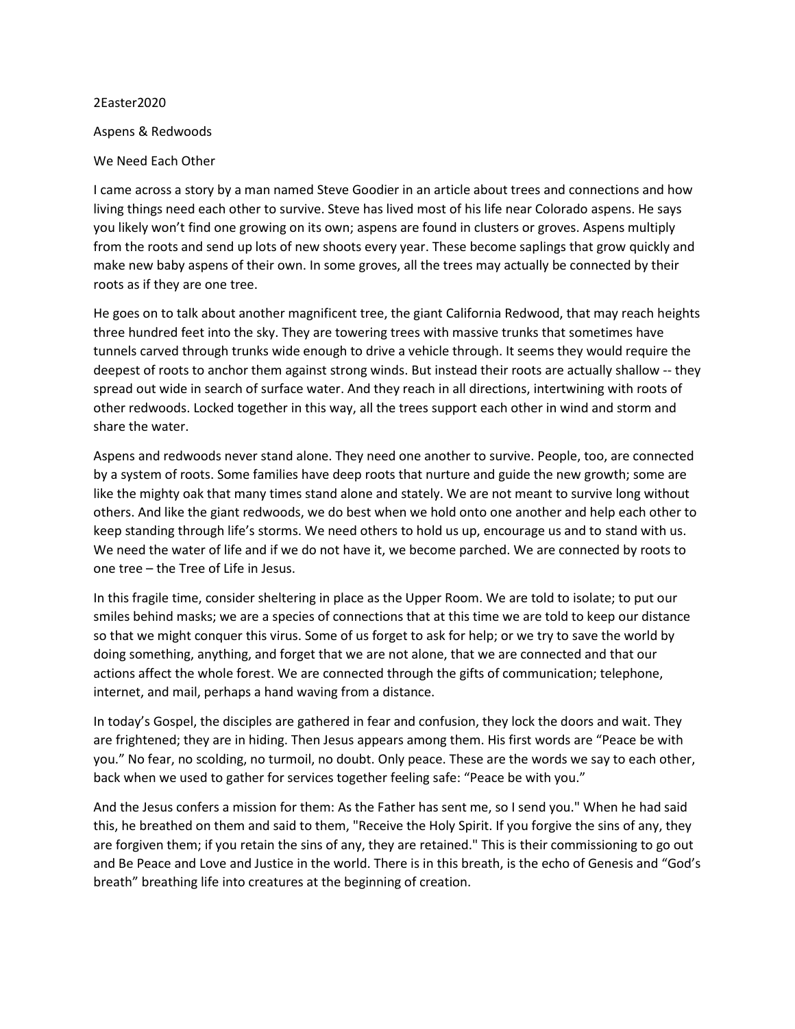## 2Easter2020

## Aspens & Redwoods

## We Need Each Other

I came across a story by a man named Steve Goodier in an article about trees and connections and how living things need each other to survive. Steve has lived most of his life near Colorado aspens. He says you likely won't find one growing on its own; aspens are found in clusters or groves. Aspens multiply from the roots and send up lots of new shoots every year. These become saplings that grow quickly and make new baby aspens of their own. In some groves, all the trees may actually be connected by their roots as if they are one tree.

He goes on to talk about another magnificent tree, the giant California Redwood, that may reach heights three hundred feet into the sky. They are towering trees with massive trunks that sometimes have tunnels carved through trunks wide enough to drive a vehicle through. It seems they would require the deepest of roots to anchor them against strong winds. But instead their roots are actually shallow -- they spread out wide in search of surface water. And they reach in all directions, intertwining with roots of other redwoods. Locked together in this way, all the trees support each other in wind and storm and share the water.

Aspens and redwoods never stand alone. They need one another to survive. People, too, are connected by a system of roots. Some families have deep roots that nurture and guide the new growth; some are like the mighty oak that many times stand alone and stately. We are not meant to survive long without others. And like the giant redwoods, we do best when we hold onto one another and help each other to keep standing through life's storms. We need others to hold us up, encourage us and to stand with us. We need the water of life and if we do not have it, we become parched. We are connected by roots to one tree – the Tree of Life in Jesus.

In this fragile time, consider sheltering in place as the Upper Room. We are told to isolate; to put our smiles behind masks; we are a species of connections that at this time we are told to keep our distance so that we might conquer this virus. Some of us forget to ask for help; or we try to save the world by doing something, anything, and forget that we are not alone, that we are connected and that our actions affect the whole forest. We are connected through the gifts of communication; telephone, internet, and mail, perhaps a hand waving from a distance.

In today's Gospel, the disciples are gathered in fear and confusion, they lock the doors and wait. They are frightened; they are in hiding. Then Jesus appears among them. His first words are "Peace be with you." No fear, no scolding, no turmoil, no doubt. Only peace. These are the words we say to each other, back when we used to gather for services together feeling safe: "Peace be with you."

And the Jesus confers a mission for them: As the Father has sent me, so I send you." When he had said this, he breathed on them and said to them, "Receive the Holy Spirit. If you forgive the sins of any, they are forgiven them; if you retain the sins of any, they are retained." This is their commissioning to go out and Be Peace and Love and Justice in the world. There is in this breath, is the echo of Genesis and "God's breath" breathing life into creatures at the beginning of creation.